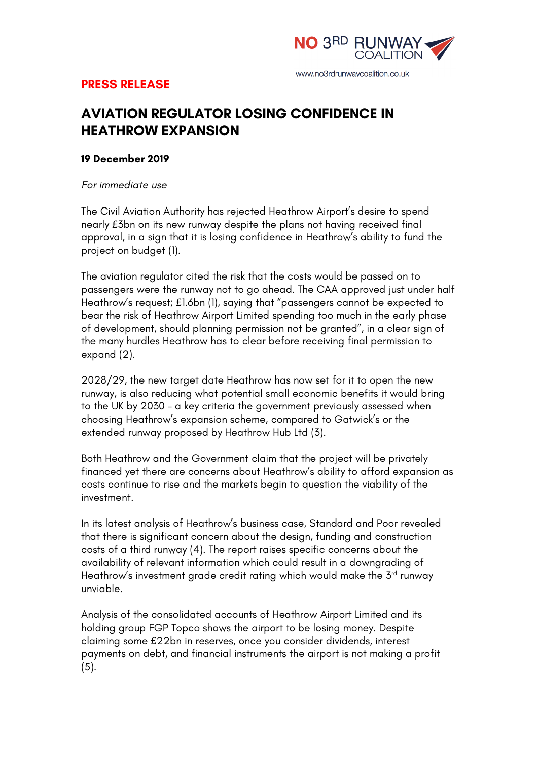

# **PRESS RELEASE**

# **AVIATION REGULATOR LOSING CONFIDENCE IN HEATHROW EXPANSION**

## **19 December 2019**

*For immediate use*

The Civil Aviation Authority has rejected Heathrow Airport's desire to spend nearly £3bn on its new runway despite the plans not having received final approval, in a sign that it is losing confidence in Heathrow's ability to fund the project on budget (1).

The aviation regulator cited the risk that the costs would be passed on to passengers were the runway not to go ahead. The CAA approved just under half Heathrow's request; £1.6bn (1), saying that "passengers cannot be expected to bear the risk of Heathrow Airport Limited spending too much in the early phase of development, should planning permission not be granted", in a clear sign of the many hurdles Heathrow has to clear before receiving final permission to expand (2).

2028/29, the new target date Heathrow has now set for it to open the new runway, is also reducing what potential small economic benefits it would bring to the UK by 2030 – a key criteria the government previously assessed when choosing Heathrow's expansion scheme, compared to Gatwick's or the extended runway proposed by Heathrow Hub Ltd (3).

Both Heathrow and the Government claim that the project will be privately financed yet there are concerns about Heathrow's ability to afford expansion as costs continue to rise and the markets begin to question the viability of the investment.

In its latest analysis of Heathrow's business case, Standard and Poor revealed that there is significant concern about the design, funding and construction costs of a third runway (4). The report raises specific concerns about the availability of relevant information which could result in a downgrading of Heathrow's investment grade credit rating which would make the 3rd runway unviable.

Analysis of the consolidated accounts of Heathrow Airport Limited and its holding group FGP Topco shows the airport to be losing money. Despite claiming some £22bn in reserves, once you consider dividends, interest payments on debt, and financial instruments the airport is not making a profit (5).